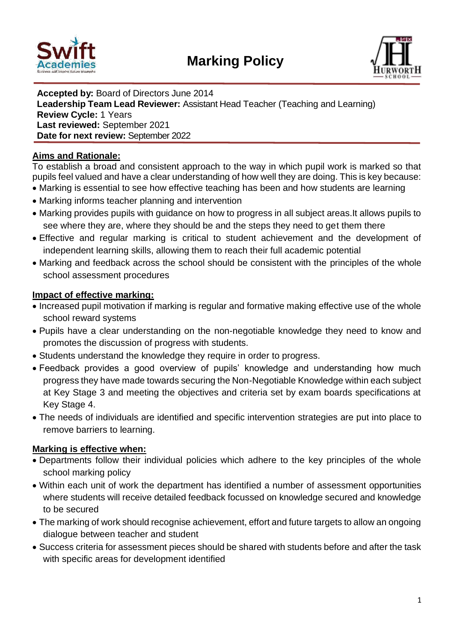



#### **Accepted by:** Board of Directors June 2014 **Leadership Team Lead Reviewer:** Assistant Head Teacher (Teaching and Learning) **Review Cycle:** 1 Years **Last reviewed:** September 2021 **Date for next review:** September 2022

#### **Aims and Rationale:**

To establish a broad and consistent approach to the way in which pupil work is marked so that pupils feel valued and have a clear understanding of how well they are doing. This is key because:

- Marking is essential to see how effective teaching has been and how students are learning
- Marking informs teacher planning and intervention
- Marking provides pupils with guidance on how to progress in all subject areas.It allows pupils to see where they are, where they should be and the steps they need to get them there
- Effective and regular marking is critical to student achievement and the development of independent learning skills, allowing them to reach their full academic potential
- Marking and feedback across the school should be consistent with the principles of the whole school assessment procedures

#### **Impact of effective marking:**

- Increased pupil motivation if marking is regular and formative making effective use of the whole school reward systems
- Pupils have a clear understanding on the non-negotiable knowledge they need to know and promotes the discussion of progress with students.
- Students understand the knowledge they require in order to progress.
- Feedback provides a good overview of pupils' knowledge and understanding how much progress they have made towards securing the Non-Negotiable Knowledge within each subject at Key Stage 3 and meeting the objectives and criteria set by exam boards specifications at Key Stage 4.
- The needs of individuals are identified and specific intervention strategies are put into place to remove barriers to learning.

#### **Marking is effective when:**

- Departments follow their individual policies which adhere to the key principles of the whole school marking policy
- Within each unit of work the department has identified a number of assessment opportunities where students will receive detailed feedback focussed on knowledge secured and knowledge to be secured
- The marking of work should recognise achievement, effort and future targets to allow an ongoing dialogue between teacher and student
- Success criteria for assessment pieces should be shared with students before and after the task with specific areas for development identified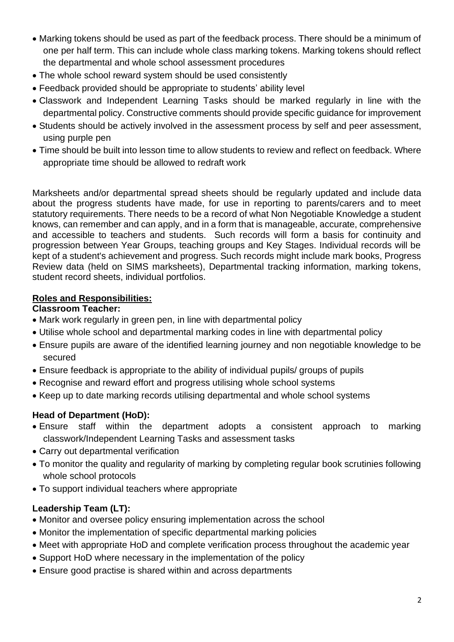- Marking tokens should be used as part of the feedback process. There should be a minimum of one per half term. This can include whole class marking tokens. Marking tokens should reflect the departmental and whole school assessment procedures
- The whole school reward system should be used consistently
- Feedback provided should be appropriate to students' ability level
- Classwork and Independent Learning Tasks should be marked regularly in line with the departmental policy. Constructive comments should provide specific guidance for improvement
- Students should be actively involved in the assessment process by self and peer assessment, using purple pen
- Time should be built into lesson time to allow students to review and reflect on feedback. Where appropriate time should be allowed to redraft work

Marksheets and/or departmental spread sheets should be regularly updated and include data about the progress students have made, for use in reporting to parents/carers and to meet statutory requirements. There needs to be a record of what Non Negotiable Knowledge a student knows, can remember and can apply, and in a form that is manageable, accurate, comprehensive and accessible to teachers and students. Such records will form a basis for continuity and progression between Year Groups, teaching groups and Key Stages. Individual records will be kept of a student's achievement and progress. Such records might include mark books, Progress Review data (held on SIMS marksheets), Departmental tracking information, marking tokens, student record sheets, individual portfolios.

#### **Roles and Responsibilities:**

## **Classroom Teacher:**

- Mark work regularly in green pen, in line with departmental policy
- Utilise whole school and departmental marking codes in line with departmental policy
- Ensure pupils are aware of the identified learning journey and non negotiable knowledge to be secured
- Ensure feedback is appropriate to the ability of individual pupils/ groups of pupils
- Recognise and reward effort and progress utilising whole school systems
- Keep up to date marking records utilising departmental and whole school systems

## **Head of Department (HoD):**

- Ensure staff within the department adopts a consistent approach to marking classwork/Independent Learning Tasks and assessment tasks
- Carry out departmental verification
- To monitor the quality and regularity of marking by completing regular book scrutinies following whole school protocols
- To support individual teachers where appropriate

# **Leadership Team (LT):**

- Monitor and oversee policy ensuring implementation across the school
- Monitor the implementation of specific departmental marking policies
- Meet with appropriate HoD and complete verification process throughout the academic year
- Support HoD where necessary in the implementation of the policy
- Ensure good practise is shared within and across departments